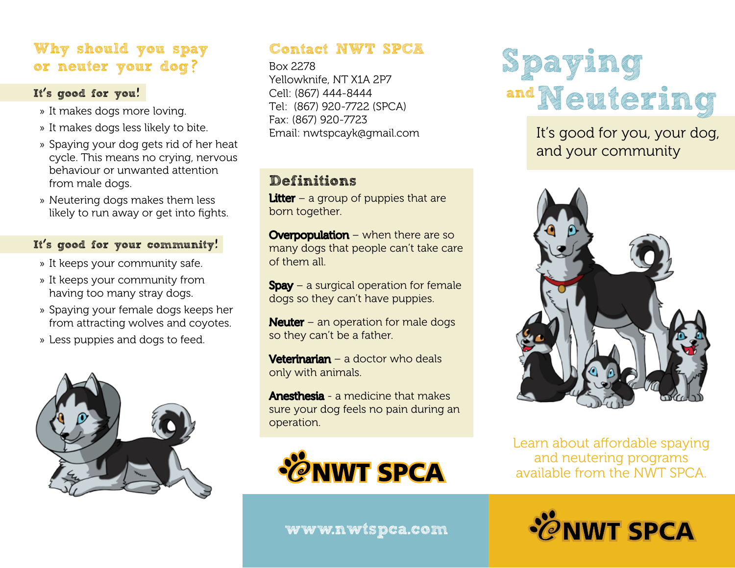## **Why should you spay or neuter your dog**?

#### **It**'**s good for you**!

- » It makes dogs more loving.
- » It makes dogs less likely to bite.
- » Spaying your dog gets rid of her heat cycle. This means no crying, nervous behaviour or unwanted attention from male dogs.
- » Neutering dogs makes them less likely to run away or get into fights.

#### **It**'**s good for your community**!

- » It keeps your community safe.
- » It keeps your community from having too many stray dogs.
- » Spaying your female dogs keeps her from attracting wolves and coyotes.
- » Less puppies and dogs to feed.



#### **Contact NWT SPCA**

Box 2278 Yellowknife, NT X1A 2P7 Cell: (867) 444-8444 Tel: (867) 920-7722 (SPCA) Fax: (867) 920-7723 Email: nwtspcayk@gmail.com

## **Definitions**

**Litter** – a group of puppies that are born together.

**Overpopulation** – when there are so many dogs that people can't take care of them all.

 $S$ pay – a surgical operation for female dogs so they can't have puppies.

**Neuter** – an operation for male dogs so they can't be a father.

**Veterinarian** – a doctor who deals only with animals.

**Anesthesia** - a medicine that makes sure your dog feels no pain during an operation.



**Spaying andNeutering**

> It's good for you, your dog, and your community



Learn about affordable spaying and neutering programs available from the NWT SPCA.



**www.nwtspca.com**